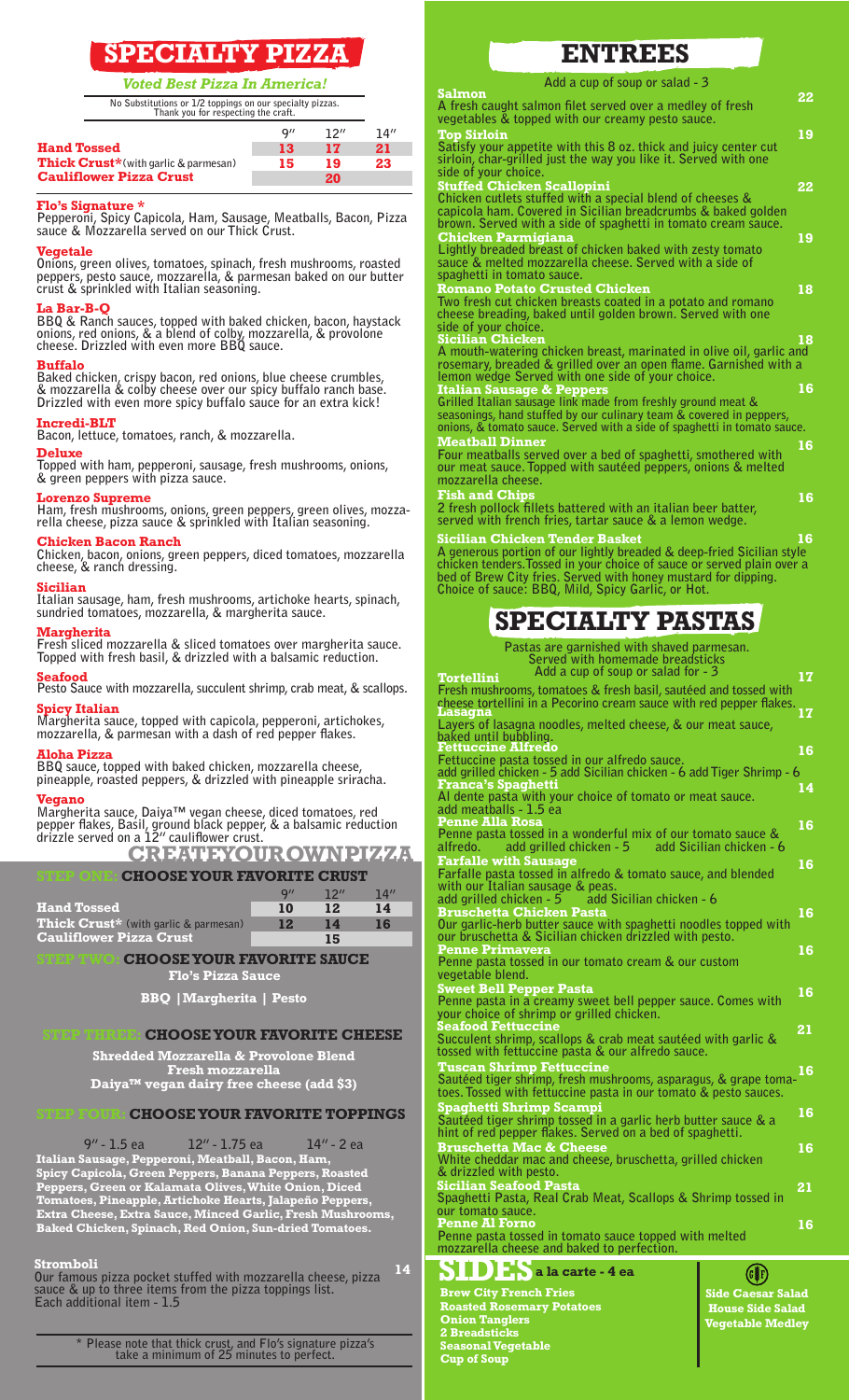# **SPECIALTY PIZZA**

*Voted Best Pizza In America!* **Salmon**

**9" 12" 14"**

**No Substitutions or 1/2 toppings on our specialty pizzas. Thank you for respecting the craft.**

|                                              | u'' | $\cdots$ | 14 |
|----------------------------------------------|-----|----------|----|
| <b>Hand Tossed</b>                           | -13 | 17       | 21 |
| <b>Thick Crust</b> *(with garlic & parmesan) | 15  | 19.      | 23 |
| <b>Cauliflower Pizza Crust</b>               |     | 20       |    |

### **Flo's Signature \***

**Pepperoni, Spicy Capicola, Ham, Sausage, Meatballs, Bacon, Pizza sauce & Mozzarella served on our Thick Crust.** 

**Vegetale Onions, green olives, tomatoes, spinach, fresh mushrooms, roasted peppers, pesto sauce, mozzarella, & parmesan baked on our butter crust & sprinkled with Italian seasoning.**

### **La Bar-B-Q**

**BBQ & Ranch sauces, topped with baked chicken, bacon, haystack onions, red onions, & a blend of colby, mozzarella, & provolone cheese. Drizzled with even more BBQ sauce.**

**Buffalo Baked chicken, crispy bacon, red onions, blue cheese crumbles, & mozzarella & colby cheese over our spicy buffalo ranch base. Drizzled with even more spicy buffalo sauce for an extra kick!**

### **Incredi-BLT**

**Bacon, lettuce, tomatoes, ranch, & mozzarella.**

### **Deluxe**

**Topped with ham, pepperoni, sausage, fresh mushrooms, onions, & green peppers with pizza sauce.**

### **Lorenzo Supreme**

**Ham, fresh mushrooms, onions, green peppers, green olives, mozzarella cheese, pizza sauce & sprinkled with Italian seasoning.**

### **Chicken Bacon Ranch**

**Chicken, bacon, onions, green peppers, diced tomatoes, mozzarella cheese, & ranch dressing.**

### **Sicilian**

**Italian sausage, ham, fresh mushrooms, artichoke hearts, spinach, sundried tomatoes, mozzarella, & margherita sauce.**

**Margherita Fresh sliced mozzarella & sliced tomatoes over margherita sauce.** 

**Topped with fresh basil, & drizzled with a balsamic reduction.**

**Seafood Pesto Sauce with mozzarella, succulent shrimp, crab meat, & scallops. Spicy Italian**

**Margherita sauce, topped with capicola, pepperoni, artichokes, mozzarella, & parmesan with a dash of red pepper flakes.** 

**Aloha Pizza BBQ sauce, topped with baked chicken, mozzarella cheese, pineapple, roasted peppers, & drizzled with pineapple sriracha.**

### **Vegano**

**Margherita sauce, Daiya™ vegan cheese, diced tomatoes, red pepper flakes, Basil, ground black pepper, & a balsamic reduction drizzle served on a 12" cauliflower crust.**

**CREATE YOUR OWN PIZZA**

### CHOOSE YOUR FAVORITE CRUST

|                                       | $Q^{\prime}$ | ווכד | 14″ |
|---------------------------------------|--------------|------|-----|
| <b>Hand Tossed</b>                    | 10           | 12   | 14  |
| Thick Crust* (with garlic & parmesan) | 12           | 14   | 16  |
| <b>Cauliflower Pizza Crust</b>        |              | 15   |     |
|                                       |              |      |     |

### **CHOOSE YOUR FAVORITE SAUCE**

**Flo's Pizza Sauce**

**BBQ |Margherita | Pesto**

### **CHOOSE YOUR FAVORITE CHEESE**

**Shredded Mozzarella & Provolone Blend Fresh mozzarella Daiya™ vegan dairy free cheese (add \$3)**

### **CHOOSE YOUR FAVORITE TOPPINGS**

**9" - 1.5 ea 12" - 1.75 ea 14" - 2 ea Italian Sausage, Pepperoni, Meatball, Bacon, Ham, Spicy Capicola, Green Peppers, Banana Peppers, Roasted Peppers, Green or Kalamata Olives, White Onion, Diced Tomatoes, Pineapple, Artichoke Hearts, Jalapeño Peppers, Extra Cheese, Extra Sauce, Minced Garlic, Fresh Mushrooms, Baked Chicken, Spinach, Red Onion, Sun-dried Tomatoes.**

### **Stromboli**

**Our famous pizza pocket stuffed with mozzarella cheese, pizza sauce & up to three items from the pizza toppings list. Each additional item - 1.5 14**

> **\* Please note that thick crust, and Flo's signature pizza's take a minimum of 25 minutes to perfect.**

## **ENTREES**

**Add a cup of soup or salad - 3**

**A fresh caught salmon filet served over a medley of fresh vegetables & topped with our creamy pesto sauce. 22 Top Sirloin Satisfy your appetite with this 8 oz. thick and juicy center cut sirloin, char-grilled just the way you like it. Served with one side of your choice. 19 Stuffed Chicken Scallopini Chicken cutlets stuffed with a special blend of cheeses & capicola ham. Covered in Sicilian breadcrumbs & baked golden brown. Served with a side of spaghetti in tomato cream sauce. 22 Chicken Parmigiana Lightly breaded breast of chicken baked with zesty tomato sauce & melted mozzarella cheese. Served with a side of spaghetti in tomato sauce. 19 Romano Potato Crusted Chicken Two fresh cut chicken breasts coated in a potato and romano cheese breading, baked until golden brown. Served with one side of your choice. 18 Sicilian Chicken A mouth-watering chicken breast, marinated in olive oil, garlic and rosemary, breaded & grilled over an open flame. Garnished with a lemon wedge Served with one side of your choice. 18 Italian Sausage & Peppers Grilled Italian sausage link made from freshly ground meat & seasonings, hand stuffed by our culinary team & covered in peppers, onions, & tomato sauce. Served with a side of spaghetti in tomato sauce. 16 Meatball Dinner Four meatballs served over a bed of spaghetti, smothered with 16**

**Tortellini**

**our meat sauce. Topped with sautéed peppers, onions & melted mozzarella cheese. Fish and Chips 2 fresh pollock fillets battered with an italian beer batter, served with french fries, tartar sauce & a lemon wedge.**

**Sicilian Chicken Tender Basket A generous portion of our lightly breaded & deep-fried Sicilian style chicken tenders.Tossed in your choice of sauce or served plain over a bed of Brew City fries. Served with honey mustard for dipping. Choice of sauce: BBQ, Mild, Spicy Garlic, or Hot. 16**

**16**

**17**

# **SPECIALTY PASTAS**

**Pastas are garnished with shaved parmesan.** 

| Served with homemade breadsticks   |
|------------------------------------|
| Add a cup of soup or salad for - 3 |

| Fresh mushrooms, tomatoes & fresh basil, sautéed and tossed with<br>cheese tortellini in a Pecorino cream sauce with red pepper flakes.<br><u>Lasagna</u>              | 17 |
|------------------------------------------------------------------------------------------------------------------------------------------------------------------------|----|
| Layers of lasagna noodles, melted cheese, & our meat sauce,<br>baked until bubbling.<br><u>Fettuccine Alfredo</u>                                                      | 16 |
| Fettuccine pasta tossed in our alfredo sauce.<br>add grilled chicken - 5 add Sicilian chicken - 6 add Tiger Shrimp - 6<br><b>Franca's Spaghetti</b>                    | 14 |
| Al dente pasta with your choice of tomato or meat sauce.<br>add meatballs - 1.5 ea<br>Penne Alla Rosa                                                                  | 16 |
| Penne pasta tossed in a wonderful mix of our tomato sauce &<br>add grilled chicken - 5 add Sicilian chicken - 6<br>alfredo.                                            |    |
| <b>Farfalle with Sausage</b><br><b>Farfalle pasta tossed in alfredo &amp; tomato sauce, and blended</b><br>with our Italian sausage & peas.                            | 16 |
| add grilled chicken $-5$ add Sicilian chicken $-6$<br><b>Bruschetta Chicken Pasta</b><br>Our garlic-herb butter sauce with spaghetti noodles topped with               | 16 |
| our bruschetta & Sicilian chicken drizzled with pesto.<br>Penne Primavera<br>Penne pasta tossed in our tomato cream & our custom<br>vegetable blend.                   | 16 |
| Sweet Bell Pepper Pasta<br>Penne pasta in a creamy sweet bell pepper sauce. Comes with<br>your choice of shrimp or grilled chicken.                                    | 16 |
| <b>Seafood Fettuccine</b><br>Succulent shrimp, scallops & crab meat sautéed with garlic &<br>tossed with fettuccine pasta & our alfredo sauce.                         | 21 |
| <b>Tuscan Shrimp Fettuccine</b><br>Sautéed tiger shrimp, fresh mushrooms, asparagus, & grape toma-<br>toes. Tossed with fettuccine pasta in our tomato & pesto sauces. | 16 |
| Spaghetti Shrimp Scampi<br>Sautéed tiger shrimp tossed in a garlic herb butter sauce & a<br>hint of red pepper flakes. Served on a bed of spaghetti.                   | 16 |
| <b>Bruschetta Mac &amp; Cheese</b><br>White cheddar mac and cheese, bruschetta, grilled chicken<br>& drizzled with pesto.                                              | 16 |
| <u>Sicilian Seafood Pasta</u><br>Spaghetti Pasta, Real Crab Meat, Scallops & Shrimp tossed in<br>our tomato sauce.                                                     | 21 |
| <b>Penne Al Forno</b><br>Penne pasta tossed in tomato sauce topped with melted<br>mozzarella cheese and baked to perfection.                                           | 16 |
| a la carte - 4 ea                                                                                                                                                      |    |
| <b>Brew City French Fries</b><br><b>Side Caesar Salad</b>                                                                                                              |    |

**Roasted Rosemary Potatoes Onion Tanglers 2 Breadsticks Seasonal Vegetable Cup of Soup**

**Side Caesar Salad House Side Salad Vegetable Medley**